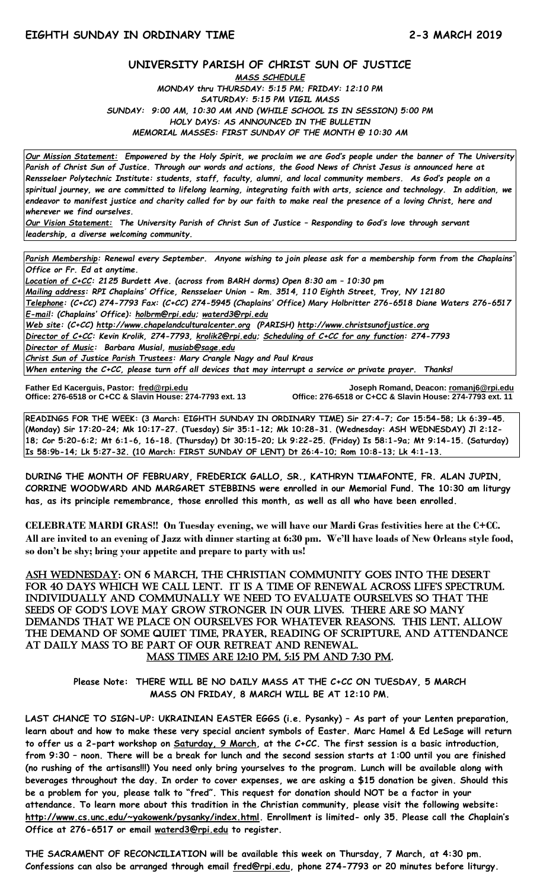#### **UNIVERSITY PARISH OF CHRIST SUN OF JUSTICE**

*MASS SCHEDULE MONDAY thru THURSDAY: 5:15 PM; FRIDAY: 12:10 PM SATURDAY: 5:15 PM VIGIL MASS SUNDAY: 9:00 AM, 10:30 AM AND (WHILE SCHOOL IS IN SESSION) 5:00 PM HOLY DAYS: AS ANNOUNCED IN THE BULLETIN MEMORIAL MASSES: FIRST SUNDAY OF THE MONTH @ 10:30 AM*

*Our Mission Statement:**Empowered by the Holy Spirit, we proclaim we are God's people under the banner of The University Parish of Christ Sun of Justice. Through our words and actions, the Good News of Christ Jesus is announced here at Rensselaer Polytechnic Institute: students, staff, faculty, alumni, and local community members. As God's people on a spiritual journey, we are committed to lifelong learning, integrating faith with arts, science and technology. In addition, we endeavor to manifest justice and charity called for by our faith to make real the presence of a loving Christ, here and wherever we find ourselves.*

*Our Vision Statement: The University Parish of Christ Sun of Justice – Responding to God's love through servant leadership, a diverse welcoming community.*

*Parish Membership: Renewal every September. Anyone wishing to join please ask for a membership form from the Chaplains' Office or Fr. Ed at anytime.*

*Location of C+CC: 2125 Burdett Ave. (across from BARH dorms) Open 8:30 am – 10:30 pm Mailing address: RPI Chaplains' Office, Rensselaer Union - Rm. 3514, 110 Eighth Street, Troy, NY 12180 Telephone: (C+CC) 274-7793 Fax: (C+CC) 274-5945 (Chaplains' Office) Mary Holbritter 276-6518 Diane Waters 276-6517 E-mail: (Chaplains' Office): [holbrm@rpi.edu;](mailto:holbrm@rpi.edu) waterd3@rpi.edu Web site: (C+CC) [http://www.chapelandculturalcenter.org](http://www.chapelandculturalcenter.org/) (PARISH) http://www.christsunofjustice.org Director of C+CC: Kevin Krolik, 274-7793, krolik2@rpi.edu; Scheduling of C+CC for any function: 274-7793 Director of Music: Barbara Musial, [musiab@sage.edu](mailto:musiab@sage.edu) Christ Sun of Justice Parish Trustees: Mary Crangle Nagy and Paul Kraus*

*When entering the C+CC, please turn off all devices that may interrupt a service or private prayer. Thanks!*  j

**Father Ed Kacerguis, Pastor: [fred@rpi.edu](mailto:fred@rpi.edu) Joseph Romand, Deacon[: romanj6@rpi.edu](mailto:romanj6@rpi.edu) Office: 276-6518 or C+CC & Slavin House: 274-7793 ext. 11** 

**READINGS FOR THE WEEK: (3 March: EIGHTH SUNDAY IN ORDINARY TIME) Sir 27:4-7; Cor 15:54-58; Lk 6:39-45. (Monday) Sir 17:20-24; Mk 10:17-27. (Tuesday) Sir 35:1-12; Mk 10:28-31. (Wednesday: ASH WEDNESDAY) Jl 2:12- 18; Cor 5:20-6:2; Mt 6:1-6, 16-18. (Thursday) Dt 30:15-20; Lk 9:22-25. (Friday) Is 58:1-9a; Mt 9:14-15. (Saturday) Is 58:9b-14; Lk 5:27-32. (10 March: FIRST SUNDAY OF LENT) Dt 26:4-10; Rom 10:8-13; Lk 4:1-13.**

**DURING THE MONTH OF FEBRUARY, FREDERICK GALLO, SR., KATHRYN TIMAFONTE, FR. ALAN JUPIN, CORRINE WOODWARD AND MARGARET STEBBINS were enrolled in our Memorial Fund. The 10:30 am liturgy has, as its principle remembrance, those enrolled this month, as well as all who have been enrolled.**

**CELEBRATE MARDI GRAS!! On Tuesday evening, we will have our Mardi Gras festivities here at the C+CC. All are invited to an evening of Jazz with dinner starting at 6:30 pm. We'll have loads of New Orleans style food, so don't be shy; bring your appetite and prepare to party with us!**

ASH WEDNESDAY: On 6 march, the Christian community GOES into the DESERT FOR 40 DAYS WHICH WE CALL LENT. IT IS A TIME OF RENEWAL ACROSS LIFE'S SPECTRUM. Individually and communally we need to evaluate ourselves so that the sEEds oF God's lovE May Grow sTronGEr In oUr lIvEs. ThErE arE so Many demands that we place on ourselves for whatever reasons. This LENT, allow the demand of some quiet time, prayer, reading of Scripture, and attendance AT DAILY MASS TO BE PART OF OUR RETREAT AND RENEWAL. Mass times are 12:10 pm, 5:15 pm and 7:30 pm.

**Please Note: THERE WILL BE NO DAILY MASS AT THE C+CC ON TUESDAY, 5 MARCH MASS ON FRIDAY, 8 MARCH WILL BE AT 12:10 PM.**

**LAST CHANCE TO SIGN-UP: UKRAINIAN EASTER EGGS (i.e. Pysanky) – As part of your Lenten preparation, learn about and how to make these very special ancient symbols of Easter. Marc Hamel & Ed LeSage will return to offer us a 2-part workshop on Saturday, 9 March, at the C+CC. The first session is a basic introduction, from 9:30 – noon. There will be a break for lunch and the second session starts at 1:00 until you are finished (no rushing of the artisans!!!) You need only bring yourselves to the program. Lunch will be available along with beverages throughout the day. In order to cover expenses, we are asking a \$15 donation be given. Should this be a problem for you, please talk to "fred". This request for donation should NOT be a factor in your attendance. To learn more about this tradition in the Christian community, please visit the following website: [http://www.cs.unc.edu/~yakowenk/pysanky/index.html.](http://www.cs.unc.edu/~yakowenk/pysanky/index.html) Enrollment is limited- only 35. Please call the Chaplain's Office at 276-6517 or email [waterd3@rpi.edu](mailto:waterd3@rpi.edu) to register.**

**THE SACRAMENT OF RECONCILIATION will be available this week on Thursday, 7 March, at 4:30 pm. Confessions can also be arranged through email [fred@rpi.edu,](mailto:fred@rpi.edu) phone 274-7793 or 20 minutes before liturgy.**